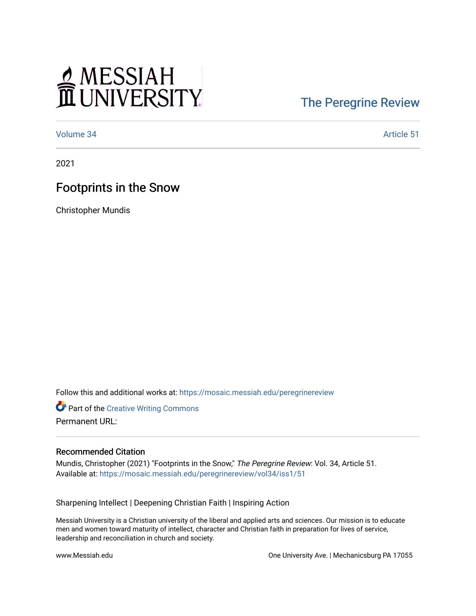# MESSIAH

## [The Peregrine Review](https://mosaic.messiah.edu/peregrinereview)

[Volume 34](https://mosaic.messiah.edu/peregrinereview/vol34) Article 51

2021

## Footprints in the Snow

Christopher Mundis

Follow this and additional works at: [https://mosaic.messiah.edu/peregrinereview](https://mosaic.messiah.edu/peregrinereview?utm_source=mosaic.messiah.edu%2Fperegrinereview%2Fvol34%2Fiss1%2F51&utm_medium=PDF&utm_campaign=PDFCoverPages) 

**Part of the Creative Writing Commons** Permanent URL:

#### Recommended Citation

Mundis, Christopher (2021) "Footprints in the Snow," The Peregrine Review: Vol. 34, Article 51. Available at: [https://mosaic.messiah.edu/peregrinereview/vol34/iss1/51](https://mosaic.messiah.edu/peregrinereview/vol34/iss1/51?utm_source=mosaic.messiah.edu%2Fperegrinereview%2Fvol34%2Fiss1%2F51&utm_medium=PDF&utm_campaign=PDFCoverPages)

Sharpening Intellect | Deepening Christian Faith | Inspiring Action

Messiah University is a Christian university of the liberal and applied arts and sciences. Our mission is to educate men and women toward maturity of intellect, character and Christian faith in preparation for lives of service, leadership and reconciliation in church and society.

www.Messiah.edu One University Ave. | Mechanicsburg PA 17055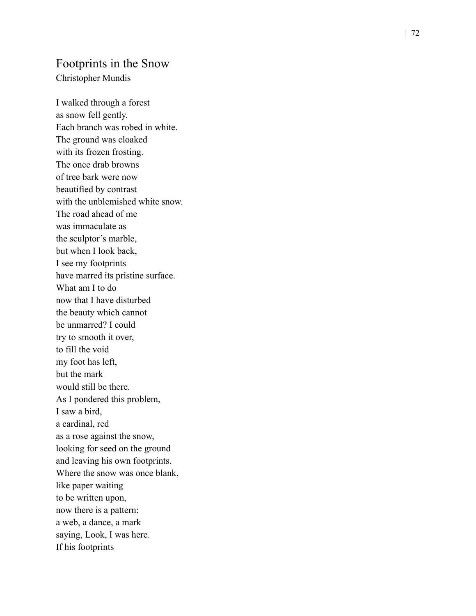#### Footprints in the Snow

Christopher Mundis

I walked through a forest as snow fell gently. Each branch was robed in white. The ground was cloaked with its frozen frosting. The once drab browns of tree bark were now beautified by contrast with the unblemished white snow. The road ahead of me was immaculate as the sculptor 's marble, but when I look back, I see my footprints have marred its pristine surface. What am I to do now that I have disturbed the beauty which cannot be unmarred? I could try to smooth it over , to fill the void my foot has left, but the mark would still be there. As I pondered this problem, I saw a bird, a cardinal, red as a rose against the snow , looking for seed on the ground and leaving his own footprints. Where the snow was once blank, like paper waiting to be written upon, now there is a pattern: a web, a dance, a mark saying, Look, I was here. If his footprints